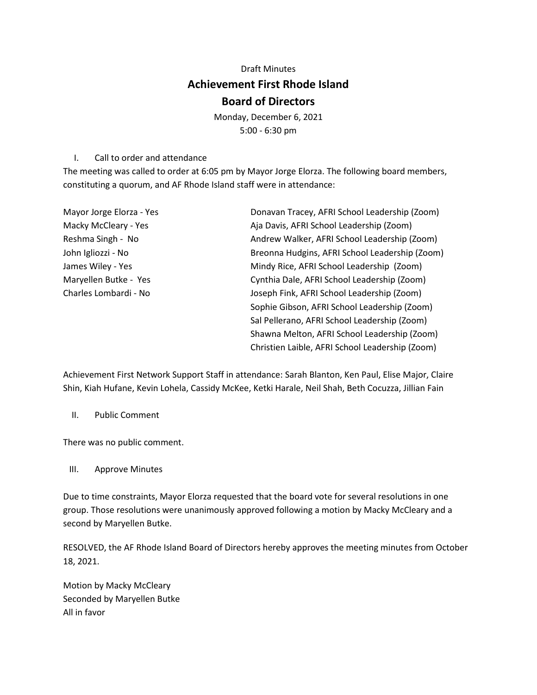## Draft Minutes **Achievement First Rhode Island Board of Directors**

Monday, December 6, 2021 5:00 - 6:30 pm

I. Call to order and attendance

The meeting was called to order at 6:05 pm by Mayor Jorge Elorza. The following board members, constituting a quorum, and AF Rhode Island staff were in attendance:

| Mayor Jorge Elorza - Yes | Donavan Tracey, AFRI School Leadership (Zoom)   |
|--------------------------|-------------------------------------------------|
| Macky McCleary - Yes     | Aja Davis, AFRI School Leadership (Zoom)        |
| Reshma Singh - No        | Andrew Walker, AFRI School Leadership (Zoom)    |
| John Igliozzi - No       | Breonna Hudgins, AFRI School Leadership (Zoom)  |
| James Wiley - Yes        | Mindy Rice, AFRI School Leadership (Zoom)       |
| Maryellen Butke - Yes    | Cynthia Dale, AFRI School Leadership (Zoom)     |
| Charles Lombardi - No    | Joseph Fink, AFRI School Leadership (Zoom)      |
|                          | Sophie Gibson, AFRI School Leadership (Zoom)    |
|                          | Sal Pellerano, AFRI School Leadership (Zoom)    |
|                          | Shawna Melton, AFRI School Leadership (Zoom)    |
|                          | Christien Laible, AFRI School Leadership (Zoom) |

Achievement First Network Support Staff in attendance: Sarah Blanton, Ken Paul, Elise Major, Claire Shin, Kiah Hufane, Kevin Lohela, Cassidy McKee, Ketki Harale, Neil Shah, Beth Cocuzza, Jillian Fain

II. Public Comment

There was no public comment.

## III. Approve Minutes

Due to time constraints, Mayor Elorza requested that the board vote for several resolutions in one group. Those resolutions were unanimously approved following a motion by Macky McCleary and a second by Maryellen Butke.

RESOLVED, the AF Rhode Island Board of Directors hereby approves the meeting minutes from October 18, 2021.

Motion by Macky McCleary Seconded by Maryellen Butke All in favor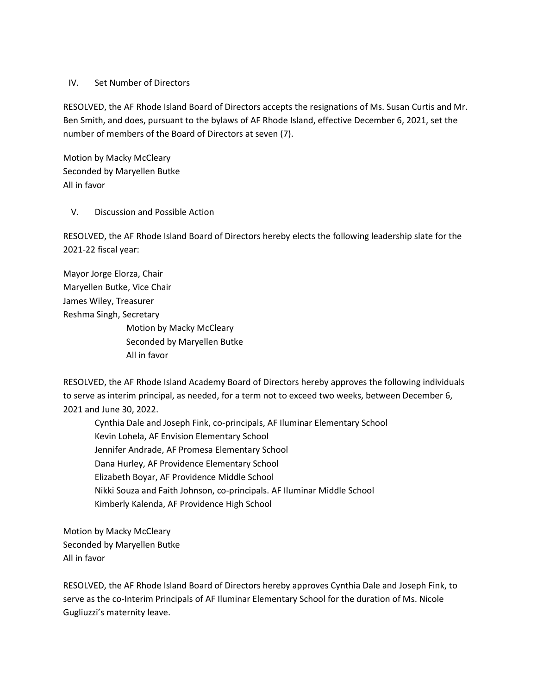## IV. Set Number of Directors

RESOLVED, the AF Rhode Island Board of Directors accepts the resignations of Ms. Susan Curtis and Mr. Ben Smith, and does, pursuant to the bylaws of AF Rhode Island, effective December 6, 2021, set the number of members of the Board of Directors at seven (7).

Motion by Macky McCleary Seconded by Maryellen Butke All in favor

## V. Discussion and Possible Action

RESOLVED, the AF Rhode Island Board of Directors hereby elects the following leadership slate for the 2021-22 fiscal year:

Mayor Jorge Elorza, Chair Maryellen Butke, Vice Chair James Wiley, Treasurer Reshma Singh, Secretary Motion by Macky McCleary Seconded by Maryellen Butke All in favor

RESOLVED, the AF Rhode Island Academy Board of Directors hereby approves the following individuals to serve as interim principal, as needed, for a term not to exceed two weeks, between December 6, 2021 and June 30, 2022.

 Cynthia Dale and Joseph Fink, co-principals, AF Iluminar Elementary School Kevin Lohela, AF Envision Elementary School Jennifer Andrade, AF Promesa Elementary School Dana Hurley, AF Providence Elementary School Elizabeth Boyar, AF Providence Middle School Nikki Souza and Faith Johnson, co-principals. AF Iluminar Middle School Kimberly Kalenda, AF Providence High School

Motion by Macky McCleary Seconded by Maryellen Butke All in favor

RESOLVED, the AF Rhode Island Board of Directors hereby approves Cynthia Dale and Joseph Fink, to serve as the co-Interim Principals of AF Iluminar Elementary School for the duration of Ms. Nicole Gugliuzzi's maternity leave.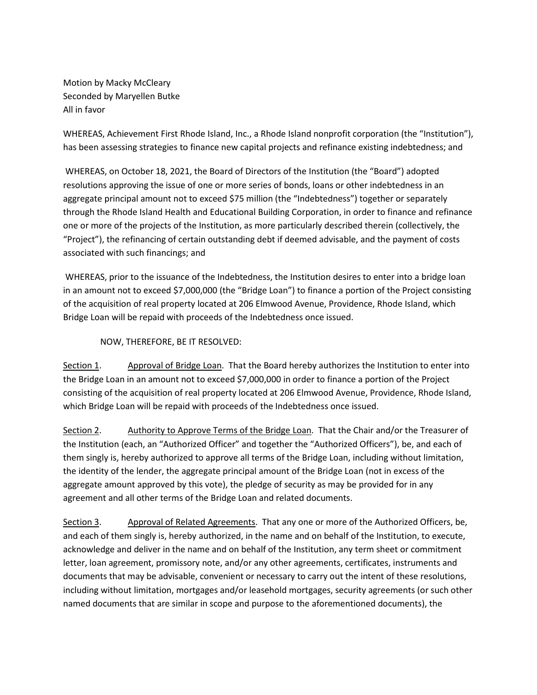Motion by Macky McCleary Seconded by Maryellen Butke All in favor

WHEREAS, Achievement First Rhode Island, Inc., a Rhode Island nonprofit corporation (the "Institution"), has been assessing strategies to finance new capital projects and refinance existing indebtedness; and

WHEREAS, on October 18, 2021, the Board of Directors of the Institution (the "Board") adopted resolutions approving the issue of one or more series of bonds, loans or other indebtedness in an aggregate principal amount not to exceed \$75 million (the "Indebtedness") together or separately through the Rhode Island Health and Educational Building Corporation, in order to finance and refinance one or more of the projects of the Institution, as more particularly described therein (collectively, the "Project"), the refinancing of certain outstanding debt if deemed advisable, and the payment of costs associated with such financings; and

WHEREAS, prior to the issuance of the Indebtedness, the Institution desires to enter into a bridge loan in an amount not to exceed \$7,000,000 (the "Bridge Loan") to finance a portion of the Project consisting of the acquisition of real property located at 206 Elmwood Avenue, Providence, Rhode Island, which Bridge Loan will be repaid with proceeds of the Indebtedness once issued.

NOW, THEREFORE, BE IT RESOLVED:

Section 1. Approval of Bridge Loan. That the Board hereby authorizes the Institution to enter into the Bridge Loan in an amount not to exceed \$7,000,000 in order to finance a portion of the Project consisting of the acquisition of real property located at 206 Elmwood Avenue, Providence, Rhode Island, which Bridge Loan will be repaid with proceeds of the Indebtedness once issued.

Section 2. Authority to Approve Terms of the Bridge Loan. That the Chair and/or the Treasurer of the Institution (each, an "Authorized Officer" and together the "Authorized Officers"), be, and each of them singly is, hereby authorized to approve all terms of the Bridge Loan, including without limitation, the identity of the lender, the aggregate principal amount of the Bridge Loan (not in excess of the aggregate amount approved by this vote), the pledge of security as may be provided for in any agreement and all other terms of the Bridge Loan and related documents.

Section 3. Approval of Related Agreements. That any one or more of the Authorized Officers, be, and each of them singly is, hereby authorized, in the name and on behalf of the Institution, to execute, acknowledge and deliver in the name and on behalf of the Institution, any term sheet or commitment letter, loan agreement, promissory note, and/or any other agreements, certificates, instruments and documents that may be advisable, convenient or necessary to carry out the intent of these resolutions, including without limitation, mortgages and/or leasehold mortgages, security agreements (or such other named documents that are similar in scope and purpose to the aforementioned documents), the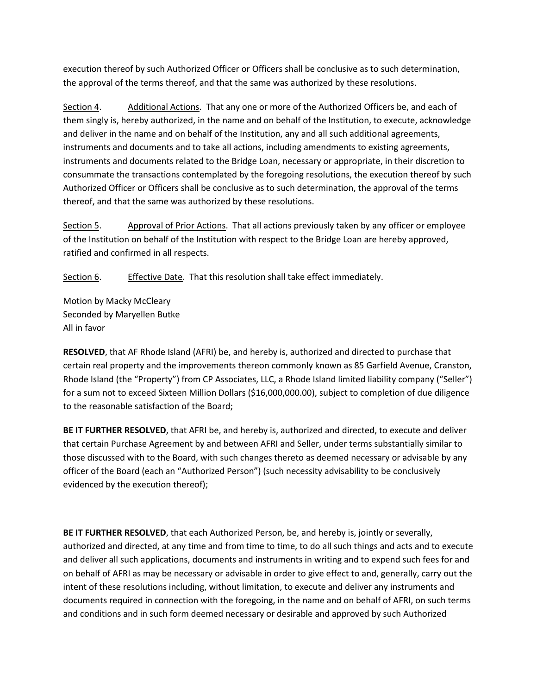execution thereof by such Authorized Officer or Officers shall be conclusive as to such determination, the approval of the terms thereof, and that the same was authorized by these resolutions.

Section 4. Additional Actions. That any one or more of the Authorized Officers be, and each of them singly is, hereby authorized, in the name and on behalf of the Institution, to execute, acknowledge and deliver in the name and on behalf of the Institution, any and all such additional agreements, instruments and documents and to take all actions, including amendments to existing agreements, instruments and documents related to the Bridge Loan, necessary or appropriate, in their discretion to consummate the transactions contemplated by the foregoing resolutions, the execution thereof by such Authorized Officer or Officers shall be conclusive as to such determination, the approval of the terms thereof, and that the same was authorized by these resolutions.

Section 5. Approval of Prior Actions. That all actions previously taken by any officer or employee of the Institution on behalf of the Institution with respect to the Bridge Loan are hereby approved, ratified and confirmed in all respects.

Section 6. Effective Date. That this resolution shall take effect immediately.

Motion by Macky McCleary Seconded by Maryellen Butke All in favor

**RESOLVED**, that AF Rhode Island (AFRI) be, and hereby is, authorized and directed to purchase that certain real property and the improvements thereon commonly known as 85 Garfield Avenue, Cranston, Rhode Island (the "Property") from CP Associates, LLC, a Rhode Island limited liability company ("Seller") for a sum not to exceed Sixteen Million Dollars (\$16,000,000.00), subject to completion of due diligence to the reasonable satisfaction of the Board;

**BE IT FURTHER RESOLVED**, that AFRI be, and hereby is, authorized and directed, to execute and deliver that certain Purchase Agreement by and between AFRI and Seller, under terms substantially similar to those discussed with to the Board, with such changes thereto as deemed necessary or advisable by any officer of the Board (each an "Authorized Person") (such necessity advisability to be conclusively evidenced by the execution thereof);

**BE IT FURTHER RESOLVED**, that each Authorized Person, be, and hereby is, jointly or severally, authorized and directed, at any time and from time to time, to do all such things and acts and to execute and deliver all such applications, documents and instruments in writing and to expend such fees for and on behalf of AFRI as may be necessary or advisable in order to give effect to and, generally, carry out the intent of these resolutions including, without limitation, to execute and deliver any instruments and documents required in connection with the foregoing, in the name and on behalf of AFRI, on such terms and conditions and in such form deemed necessary or desirable and approved by such Authorized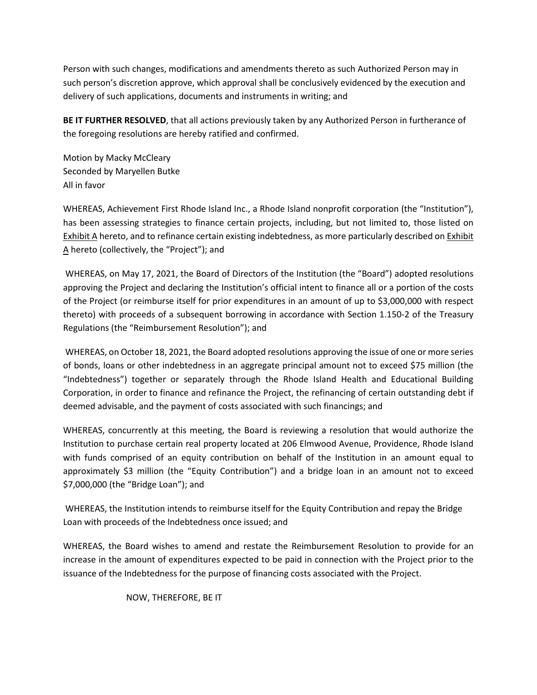Person with such changes, modifications and amendments thereto as such Authorized Person may in such person's discretion approve, which approval shall be conclusively evidenced by the execution and delivery of such applications, documents and instruments in writing; and

**BE IT FURTHER RESOLVED**, that all actions previously taken by any Authorized Person in furtherance of the foregoing resolutions are hereby ratified and confirmed.

Motion by Macky McCleary Seconded by Maryellen Butke All in favor

WHEREAS, Achievement First Rhode Island Inc., a Rhode Island nonprofit corporation (the "Institution"), has been assessing strategies to finance certain projects, including, but not limited to, those listed on Exhibit A hereto, and to refinance certain existing indebtedness, as more particularly described on Exhibit A hereto (collectively, the "Project"); and

WHEREAS, on May 17, 2021, the Board of Directors of the Institution (the "Board") adopted resolutions approving the Project and declaring the Institution's official intent to finance all or a portion of the costs of the Project (or reimburse itself for prior expenditures in an amount of up to \$3,000,000 with respect thereto) with proceeds of a subsequent borrowing in accordance with Section 1.150-2 of the Treasury Regulations (the "Reimbursement Resolution"); and

WHEREAS, on October 18, 2021, the Board adopted resolutions approving the issue of one or more series of bonds, loans or other indebtedness in an aggregate principal amount not to exceed \$75 million (the "Indebtedness") together or separately through the Rhode Island Health and Educational Building Corporation, in order to finance and refinance the Project, the refinancing of certain outstanding debt if deemed advisable, and the payment of costs associated with such financings; and

WHEREAS, concurrently at this meeting, the Board is reviewing a resolution that would authorize the Institution to purchase certain real property located at 206 Elmwood Avenue, Providence, Rhode Island with funds comprised of an equity contribution on behalf of the Institution in an amount equal to approximately \$3 million (the "Equity Contribution") and a bridge loan in an amount not to exceed \$7,000,000 (the "Bridge Loan"); and

WHEREAS, the Institution intends to reimburse itself for the Equity Contribution and repay the Bridge Loan with proceeds of the Indebtedness once issued; and

WHEREAS, the Board wishes to amend and restate the Reimbursement Resolution to provide for an increase in the amount of expenditures expected to be paid in connection with the Project prior to the issuance of the Indebtedness for the purpose of financing costs associated with the Project.

NOW, THEREFORE, BE IT